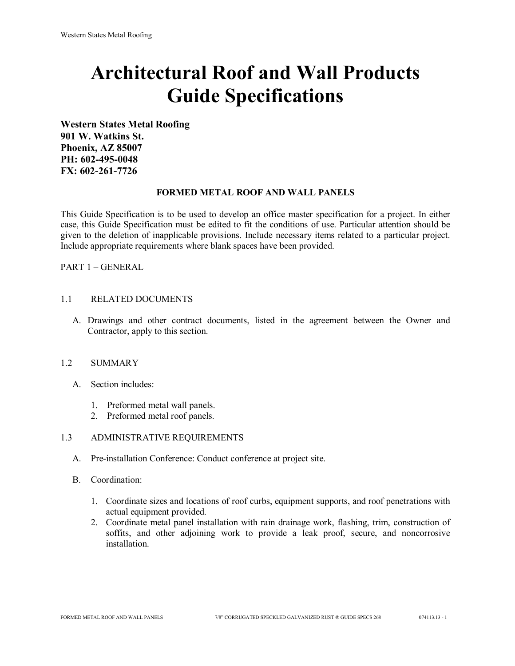# **Architectural Roof and Wall Products Guide Specifications**

**Western States Metal Roofing 901 W. Watkins St. Phoenix, AZ 85007 PH: 602-495-0048 FX: 602-261-7726**

### **FORMED METAL ROOF AND WALL PANELS**

This Guide Specification is to be used to develop an office master specification for a project. In either case, this Guide Specification must be edited to fit the conditions of use. Particular attention should be given to the deletion of inapplicable provisions. Include necessary items related to a particular project. Include appropriate requirements where blank spaces have been provided.

PART 1 – GENERAL

### 1.1 RELATED DOCUMENTS

A. Drawings and other contract documents, listed in the agreement between the Owner and Contractor, apply to this section.

#### 1.2 SUMMARY

- A. Section includes:
	- 1. Preformed metal wall panels.
	- 2. Preformed metal roof panels.

## 1.3 ADMINISTRATIVE REQUIREMENTS

- A. Pre-installation Conference: Conduct conference at project site.
- B. Coordination:
	- 1. Coordinate sizes and locations of roof curbs, equipment supports, and roof penetrations with actual equipment provided.
	- 2. Coordinate metal panel installation with rain drainage work, flashing, trim, construction of soffits, and other adjoining work to provide a leak proof, secure, and noncorrosive installation.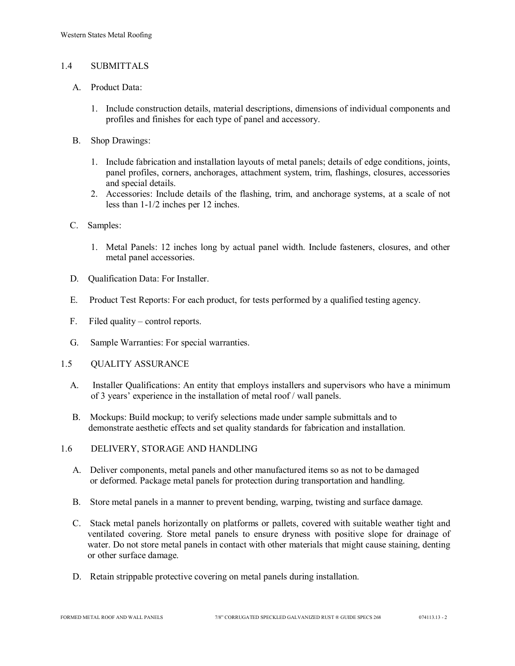## 1.4 SUBMITTALS

- A. Product Data:
	- 1. Include construction details, material descriptions, dimensions of individual components and profiles and finishes for each type of panel and accessory.
- B. Shop Drawings:
	- 1. Include fabrication and installation layouts of metal panels; details of edge conditions, joints, panel profiles, corners, anchorages, attachment system, trim, flashings, closures, accessories and special details.
	- 2. Accessories: Include details of the flashing, trim, and anchorage systems, at a scale of not less than 1-1/2 inches per 12 inches.
- C. Samples:
	- 1. Metal Panels: 12 inches long by actual panel width. Include fasteners, closures, and other metal panel accessories.
- D. Qualification Data: For Installer.
- E. Product Test Reports: For each product, for tests performed by a qualified testing agency.
- F. Filed quality control reports.
- G. Sample Warranties: For special warranties.
- 1.5 QUALITY ASSURANCE
	- A. Installer Qualifications: An entity that employs installers and supervisors who have a minimum of 3 years' experience in the installation of metal roof / wall panels.
	- B. Mockups: Build mockup; to verify selections made under sample submittals and to demonstrate aesthetic effects and set quality standards for fabrication and installation.
- 1.6 DELIVERY, STORAGE AND HANDLING
	- A. Deliver components, metal panels and other manufactured items so as not to be damaged or deformed. Package metal panels for protection during transportation and handling.
	- B. Store metal panels in a manner to prevent bending, warping, twisting and surface damage.
	- C. Stack metal panels horizontally on platforms or pallets, covered with suitable weather tight and ventilated covering. Store metal panels to ensure dryness with positive slope for drainage of water. Do not store metal panels in contact with other materials that might cause staining, denting or other surface damage.
	- D. Retain strippable protective covering on metal panels during installation.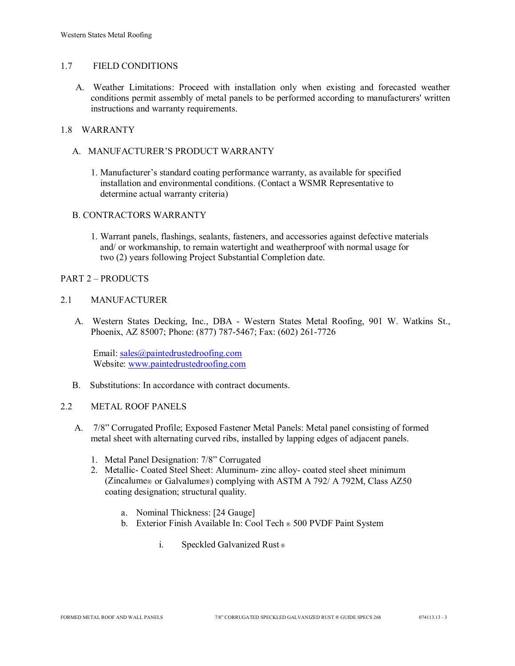## 1.7 FIELD CONDITIONS

A. Weather Limitations: Proceed with installation only when existing and forecasted weather conditions permit assembly of metal panels to be performed according to manufacturers' written instructions and warranty requirements.

# 1.8 WARRANTY

- A. MANUFACTURER'S PRODUCT WARRANTY
	- 1. Manufacturer's standard coating performance warranty, as available for specified installation and environmental conditions. (Contact a WSMR Representative to determine actual warranty criteria)

### B. CONTRACTORS WARRANTY

1. Warrant panels, flashings, sealants, fasteners, and accessories against defective materials and/ or workmanship, to remain watertight and weatherproof with normal usage for two (2) years following Project Substantial Completion date.

### PART 2 – PRODUCTS

### 2.1 MANUFACTURER

 A. Western States Decking, Inc., DBA - Western States Metal Roofing, 901 W. Watkins St., Phoenix, AZ 85007; Phone: (877) 787-5467; Fax: (602) 261-7726

Email: [sales@paintedrustedroofing.com](mailto:sales@paintedrustedroofing.com) Website: [www.paintedrustedroofing.com](http://www.paintedrustedroofing.com/)

B. Substitutions: In accordance with contract documents.

#### 2.2 METAL ROOF PANELS

- A. 7/8" Corrugated Profile; Exposed Fastener Metal Panels: Metal panel consisting of formed metal sheet with alternating curved ribs, installed by lapping edges of adjacent panels.
	- 1. Metal Panel Designation: 7/8" Corrugated
	- 2. Metallic- Coated Steel Sheet: Aluminum- zinc alloy- coated steel sheet minimum (Zincalume® or Galvalume®) complying with ASTM A 792/ A 792M, Class AZ50 coating designation; structural quality.
		- a. Nominal Thickness: [24 Gauge]
		- b. Exterior Finish Available In: Cool Tech ® 500 PVDF Paint System
			- i. Speckled Galvanized Rust ®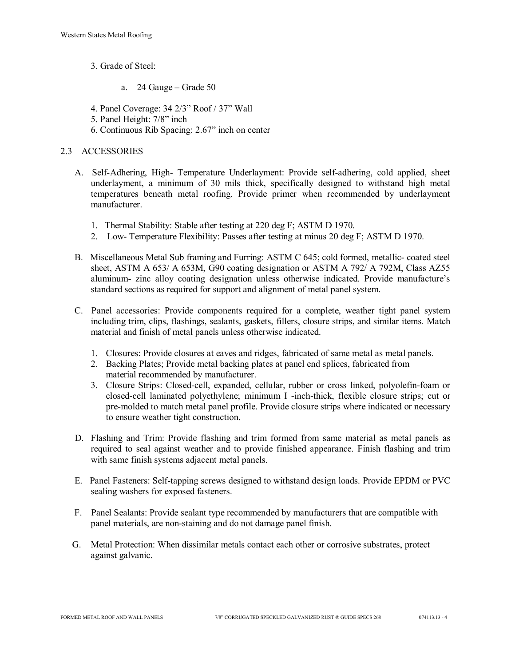- 3. Grade of Steel:
	- a. 24 Gauge Grade 50
- 4. Panel Coverage: 34 2/3" Roof / 37" Wall
- 5. Panel Height: 7/8" inch
- 6. Continuous Rib Spacing: 2.67" inch on center

## 2.3 ACCESSORIES

- A. Self-Adhering, High- Temperature Underlayment: Provide self-adhering, cold applied, sheet underlayment, a minimum of 30 mils thick, specifically designed to withstand high metal temperatures beneath metal roofing. Provide primer when recommended by underlayment manufacturer.
	- 1. Thermal Stability: Stable after testing at 220 deg F; ASTM D 1970.
	- 2. Low- Temperature Flexibility: Passes after testing at minus 20 deg F; ASTM D 1970.
- B. Miscellaneous Metal Sub framing and Furring: ASTM C 645; cold formed, metallic- coated steel sheet, ASTM A 653/ A 653M, G90 coating designation or ASTM A 792/ A 792M, Class AZ55 aluminum- zinc alloy coating designation unless otherwise indicated. Provide manufacture's standard sections as required for support and alignment of metal panel system.
- C. Panel accessories: Provide components required for a complete, weather tight panel system including trim, clips, flashings, sealants, gaskets, fillers, closure strips, and similar items. Match material and finish of metal panels unless otherwise indicated.
	- 1. Closures: Provide closures at eaves and ridges, fabricated of same metal as metal panels.
	- 2. Backing Plates; Provide metal backing plates at panel end splices, fabricated from material recommended by manufacturer.
	- 3. Closure Strips: Closed-cell, expanded, cellular, rubber or cross linked, polyolefin-foam or closed-cell laminated polyethylene; minimum I -inch-thick, flexible closure strips; cut or pre-molded to match metal panel profile. Provide closure strips where indicated or necessary to ensure weather tight construction.
- D. Flashing and Trim: Provide flashing and trim formed from same material as metal panels as required to seal against weather and to provide finished appearance. Finish flashing and trim with same finish systems adjacent metal panels.
- E. Panel Fasteners: Self-tapping screws designed to withstand design loads. Provide EPDM or PVC sealing washers for exposed fasteners.
- F. Panel Sealants: Provide sealant type recommended by manufacturers that are compatible with panel materials, are non-staining and do not damage panel finish.
- G. Metal Protection: When dissimilar metals contact each other or corrosive substrates, protect against galvanic.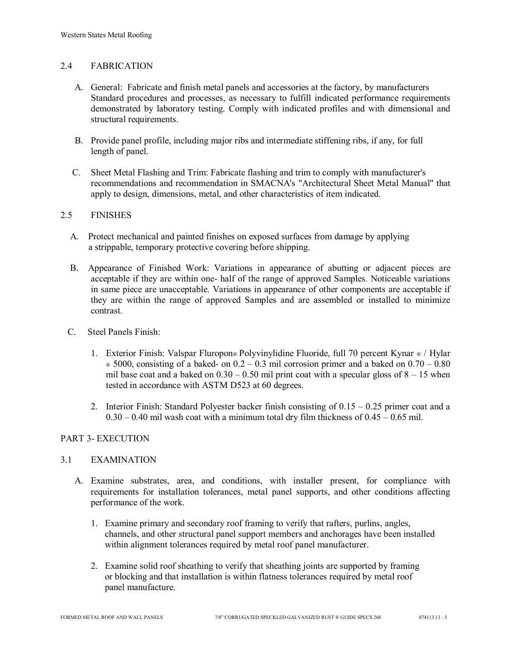## 2.4 FABRICATION

- A. General: Fabricate and finish metal panels and accessories at the factory, by manufacturers Standard procedures and processes, as necessary to fulfill indicated performance requirements demonstrated by laboratory testing. Comply with indicated profiles and with dimensional and structural requirements.
- B. Provide panel profile, including major ribs and intermediate stiffening ribs, if any, for full length of panel.
- C. Sheet Metal Flashing and Trim: Fabricate flashing and trim to comply with manufacturer's recommendations and recommendation in SMACNA's "Architectural Sheet Metal Manual" that apply to design, dimensions, metal, and other characteristics of item indicated.

## 2.5 FINISHES

- A. Protect mechanical and painted finishes on exposed surfaces from damage by applying a strippable, temporary protective covering before shipping.
- B. Appearance of Finished Work: Variations in appearance of abutting or adjacent pieces are acceptable if they are within one- half of the range of approved Samples. Noticeable variations in same piece are unacceptable. Variations in appearance of other components are acceptable if they are within the range of approved Samples and are assembled or installed to minimize contrast.
- C. Steel Panels Finish:
	- 1. Exterior Finish: Valspar Fluropon® Polyvinylidine Fluoride, full 70 percent Kynar ® / Hylar  $\infty$  5000, consisting of a baked- on 0.2 – 0.3 mil corrosion primer and a baked on 0.70 – 0.80 mil base coat and a baked on  $0.30 - 0.50$  mil print coat with a specular gloss of  $8 - 15$  when tested in accordance with ASTM D523 at 60 degrees.
	- 2. Interior Finish: Standard Polyester backer finish consisting of  $0.15 0.25$  primer coat and a  $0.30 - 0.40$  mil wash coat with a minimum total dry film thickness of  $0.45 - 0.65$  mil.

## PART 3- EXECUTION

## 3.1 EXAMINATION

- A. Examine substrates, area, and conditions, with installer present, for compliance with requirements for installation tolerances, metal panel supports, and other conditions affecting performance of the work.
	- 1. Examine primary and secondary roof framing to verify that rafters, purlins, angles, channels, and other structural panel support members and anchorages have been installed within alignment tolerances required by metal roof panel manufacturer.
	- 2. Examine solid roof sheathing to verify that sheathing joints are supported by framing or blocking and that installation is within flatness tolerances required by metal roof panel manufacture.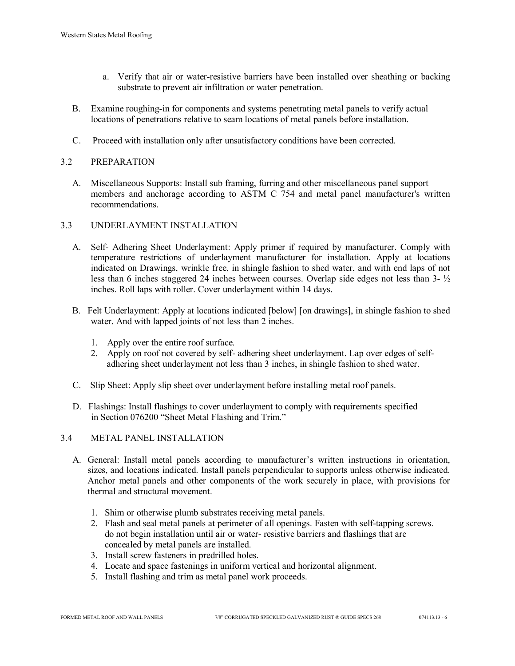- a. Verify that air or water-resistive barriers have been installed over sheathing or backing substrate to prevent air infiltration or water penetration.
- B. Examine roughing-in for components and systems penetrating metal panels to verify actual locations of penetrations relative to seam locations of metal panels before installation.
- C. Proceed with installation only after unsatisfactory conditions have been corrected.

## 3.2 PREPARATION

 A. Miscellaneous Supports: Install sub framing, furring and other miscellaneous panel support members and anchorage according to ASTM C 754 and metal panel manufacturer's written recommendations.

### 3.3 UNDERLAYMENT INSTALLATION

- A. Self- Adhering Sheet Underlayment: Apply primer if required by manufacturer. Comply with temperature restrictions of underlayment manufacturer for installation. Apply at locations indicated on Drawings, wrinkle free, in shingle fashion to shed water, and with end laps of not less than 6 inches staggered 24 inches between courses. Overlap side edges not less than 3- ½ inches. Roll laps with roller. Cover underlayment within 14 days.
- B. Felt Underlayment: Apply at locations indicated [below] [on drawings], in shingle fashion to shed water. And with lapped joints of not less than 2 inches.
	- 1. Apply over the entire roof surface.
	- 2. Apply on roof not covered by self- adhering sheet underlayment. Lap over edges of self adhering sheet underlayment not less than 3 inches, in shingle fashion to shed water.
- C. Slip Sheet: Apply slip sheet over underlayment before installing metal roof panels.
- D. Flashings: Install flashings to cover underlayment to comply with requirements specified in Section 076200 "Sheet Metal Flashing and Trim."

#### 3.4 METAL PANEL INSTALLATION

- A. General: Install metal panels according to manufacturer's written instructions in orientation, sizes, and locations indicated. Install panels perpendicular to supports unless otherwise indicated. Anchor metal panels and other components of the work securely in place, with provisions for thermal and structural movement.
	- 1. Shim or otherwise plumb substrates receiving metal panels.
	- 2. Flash and seal metal panels at perimeter of all openings. Fasten with self-tapping screws. do not begin installation until air or water- resistive barriers and flashings that are concealed by metal panels are installed.
	- 3. Install screw fasteners in predrilled holes.
	- 4. Locate and space fastenings in uniform vertical and horizontal alignment.
	- 5. Install flashing and trim as metal panel work proceeds.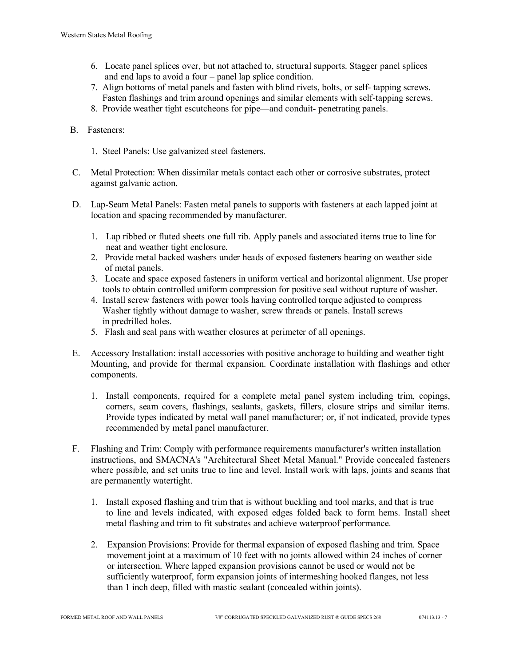- 6. Locate panel splices over, but not attached to, structural supports. Stagger panel splices and end laps to avoid a four – panel lap splice condition.
- 7. Align bottoms of metal panels and fasten with blind rivets, bolts, or self- tapping screws. Fasten flashings and trim around openings and similar elements with self-tapping screws.
- 8. Provide weather tight escutcheons for pipe—and conduit- penetrating panels.
- B. Fasteners:
	- 1. Steel Panels: Use galvanized steel fasteners.
- C. Metal Protection: When dissimilar metals contact each other or corrosive substrates, protect against galvanic action.
- D. Lap-Seam Metal Panels: Fasten metal panels to supports with fasteners at each lapped joint at location and spacing recommended by manufacturer.
	- 1. Lap ribbed or fluted sheets one full rib. Apply panels and associated items true to line for neat and weather tight enclosure.
	- 2. Provide metal backed washers under heads of exposed fasteners bearing on weather side of metal panels.
	- 3. Locate and space exposed fasteners in uniform vertical and horizontal alignment. Use proper tools to obtain controlled uniform compression for positive seal without rupture of washer.
	- 4. Install screw fasteners with power tools having controlled torque adjusted to compress Washer tightly without damage to washer, screw threads or panels. Install screws in predrilled holes.
	- 5. Flash and seal pans with weather closures at perimeter of all openings.
- E. Accessory Installation: install accessories with positive anchorage to building and weather tight Mounting, and provide for thermal expansion. Coordinate installation with flashings and other components.
	- 1. Install components, required for a complete metal panel system including trim, copings, corners, seam covers, flashings, sealants, gaskets, fillers, closure strips and similar items. Provide types indicated by metal wall panel manufacturer; or, if not indicated, provide types recommended by metal panel manufacturer.
- F. Flashing and Trim: Comply with performance requirements manufacturer's written installation instructions, and SMACNA's "Architectural Sheet Metal Manual." Provide concealed fasteners where possible, and set units true to line and level. Install work with laps, joints and seams that are permanently watertight.
	- 1. Install exposed flashing and trim that is without buckling and tool marks, and that is true to line and levels indicated, with exposed edges folded back to form hems. Install sheet metal flashing and trim to fit substrates and achieve waterproof performance.
	- 2. Expansion Provisions: Provide for thermal expansion of exposed flashing and trim. Space movement joint at a maximum of 10 feet with no joints allowed within 24 inches of corner or intersection. Where lapped expansion provisions cannot be used or would not be sufficiently waterproof, form expansion joints of intermeshing hooked flanges, not less than 1 inch deep, filled with mastic sealant (concealed within joints).